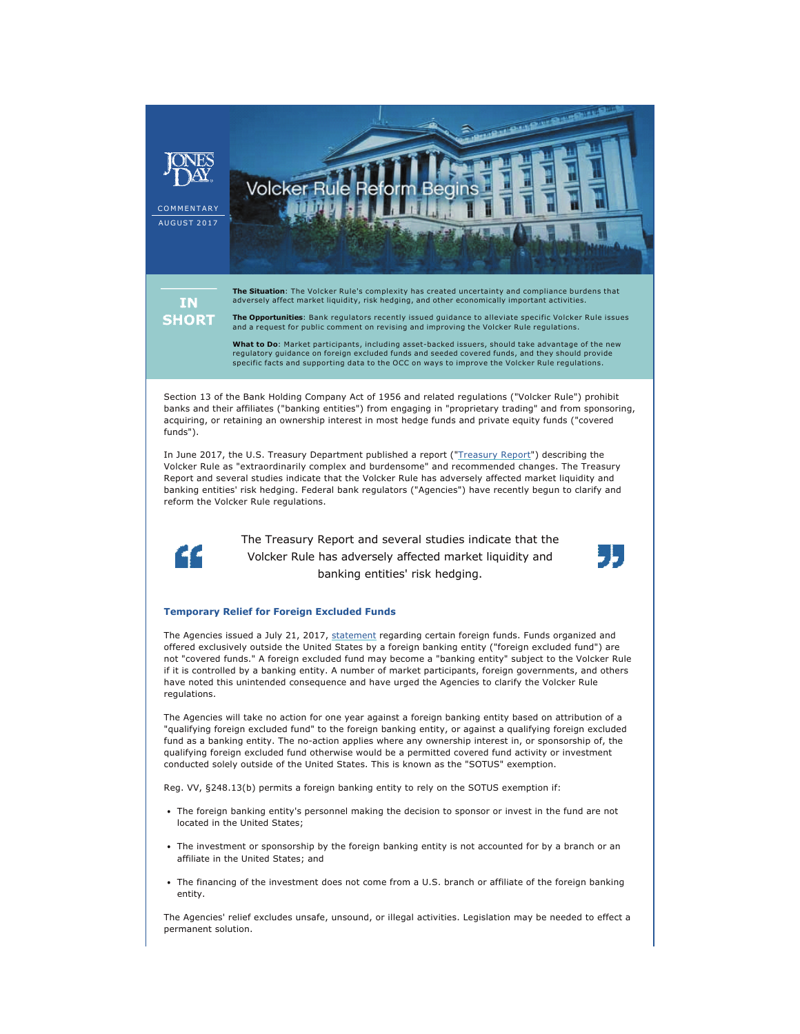

not "covered funds." A foreign excluded fund may become a "banking entity" subject to the Volcker Rule if it is controlled by a banking entity. A number of market participants, foreign governments, and others have noted this unintended consequence and have urged the Agencies to clarify the Volcker Rule regulations.

The Agencies will take no action for one year against a foreign banking entity based on attribution of a "qualifying foreign excluded fund" to the foreign banking entity, or against a qualifying foreign excluded fund as a banking entity. The no-action applies where any ownership interest in, or sponsorship of, the qualifying foreign excluded fund otherwise would be a permitted covered fund activity or investment conducted solely outside of the United States. This is known as the "SOTUS" exemption.

Reg. VV, §248.13(b) permits a foreign banking entity to rely on the SOTUS exemption if:

- The foreign banking entity's personnel making the decision to sponsor or invest in the fund are not located in the United States;
- The investment or sponsorship by the foreign banking entity is not accounted for by a branch or an affiliate in the United States; and
- The financing of the investment does not come from a U.S. branch or affiliate of the foreign banking entity.

The Agencies' relief excludes unsafe, unsound, or illegal activities. Legislation may be needed to effect a permanent solution.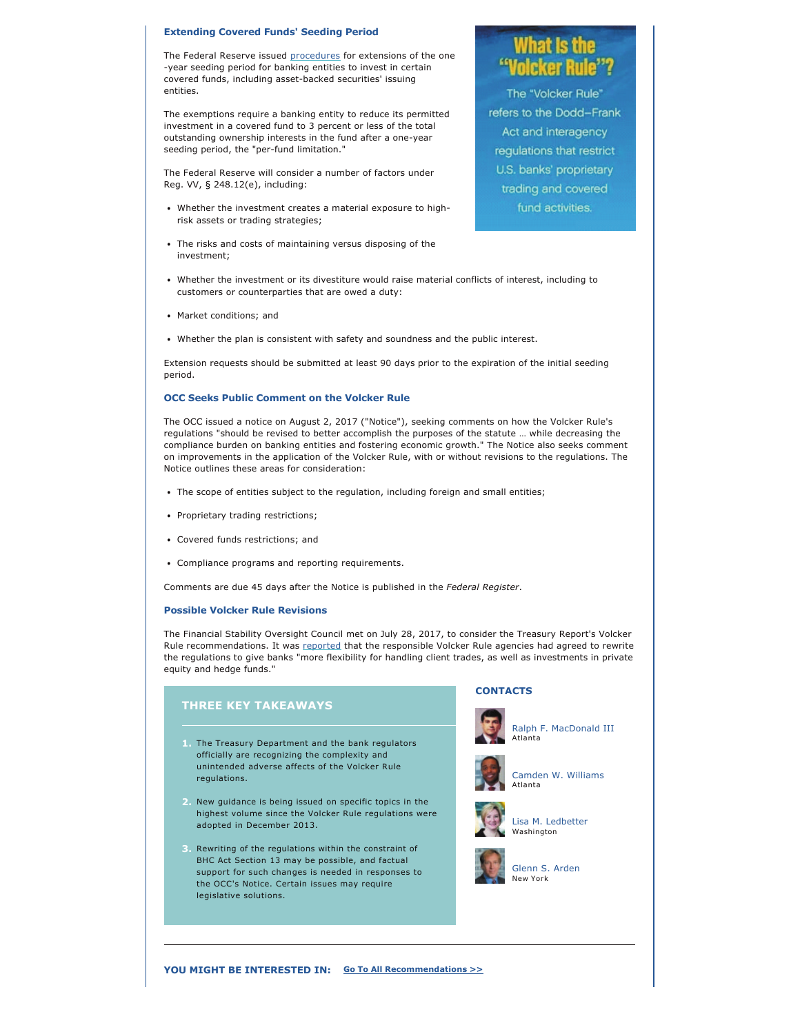#### **Extending Covered Funds' Seeding Period**

The Federal Reserve issued [procedures](https://www.federalreserve.gov/supervisionreg/srletters/sr1705.htm) for extensions of the one year seeding period for banking entities to invest in certain covered funds, including asset-backed securities' issuing entities.

The exemptions require a banking entity to reduce its permitted investment in a covered fund to 3 percent or less of the total outstanding ownership interests in the fund after a one-year seeding period, the "per-fund limitation."

The Federal Reserve will consider a number of factors under Reg. VV, § 248.12(e), including:

- Whether the investment creates a material exposure to highrisk assets or trading strategies;
- The risks and costs of maintaining versus disposing of the investment;
- Whether the investment or its divestiture would raise material conflicts of interest, including to customers or counterparties that are owed a duty:
- Market conditions; and
- Whether the plan is consistent with safety and soundness and the public interest.

Extension requests should be submitted at least 90 days prior to the expiration of the initial seeding period.

## **OCC Seeks Public Comment on the Volcker Rule**

The OCC issued a notice on August 2, 2017 ("Notice"), seeking comments on how the Volcker Rule's regulations "should be revised to better accomplish the purposes of the statute … while decreasing the compliance burden on banking entities and fostering economic growth." The Notice also seeks comment on improvements in the application of the Volcker Rule, with or without revisions to the regulations. The Notice outlines these areas for consideration:

- The scope of entities subject to the regulation, including foreign and small entities;
- Proprietary trading restrictions;
- Covered funds restrictions; and
- Compliance programs and reporting requirements.

Comments are due 45 days after the Notice is published in the *Federal Register*.

## **Possible Volcker Rule Revisions**

The Financial Stability Oversight Council met on July 28, 2017, to consider the Treasury Report's Volcker Rule recommendations. It was [reported](https://www.bloomberg.com/news/articles/2017-08-01/volcker-rewrite-is-said-to-start-as-trump-regulators-grab-reins) that the responsible Volcker Rule agencies had agreed to rewrite the regulations to give banks "more flexibility for handling client trades, as well as investments in private equity and hedge funds."

## **THREE KEY TAKEAWAYS**

- **1.** The Treasury Department and the bank regulators officially are recognizing the complexity and unintended adverse affects of the Volcker Rule regulations.
- **2.** New guidance is being issued on specific topics in the highest volume since the Volcker Rule regulations were adopted in December 2013.
- **3.** Rewriting of the regulations within the constraint of BHC Act Section 13 may be possible, and factual support for such changes is needed in responses to the OCC's Notice. Certain issues may require legislative solutions.

## **CONTACTS**



[Ralph F. MacDonald III](http://www.jonesday.com/cmacdonald) Atlanta



[Camden W. Williams](http://www.jonesday.com/cwilliams) Atlanta



[Lisa M. Ledbetter](http://www.jonesday.com/lledbetter) Washington



[Glenn S. Arden](http://www.jonesday.com/gsarden) New York

# ker Ri

The "Volcker Rule" refers to the Dodd-Frank Act and interagency regulations that restrict U.S. banks' proprietary trading and covered fund activities.